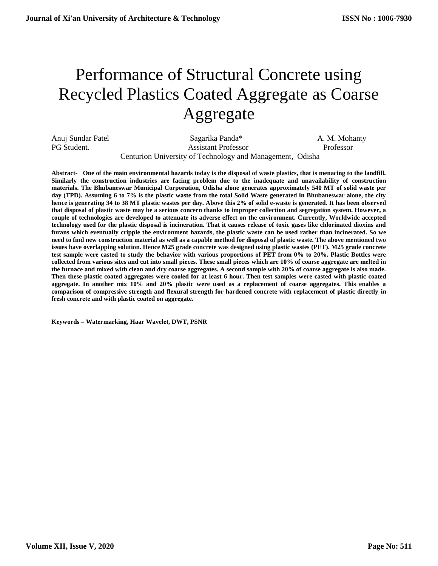# Performance of Structural Concrete using Recycled Plastics Coated Aggregate as Coarse Aggregate

Anuj Sundar Patel Sagarika Panda\* A. M. Mohanty PG Student. Assistant Professor Professor Professor Centurion University of Technology and Management, Odisha

**Abstract- One of the main environmental hazards today is the disposal of waste plastics, that is menacing to the landfill. Similarly the construction industries are facing problem due to the inadequate and unavailability of construction materials. The Bhubaneswar Municipal Corporation, Odisha alone generates approximately 540 MT of solid waste per day (TPD). Assuming 6 to 7% is the plastic waste from the total Solid Waste generated in Bhubaneswar alone, the city hence is generating 34 to 38 MT plastic wastes per day. Above this 2% of solid e-waste is generated. It has been observed that disposal of plastic waste may be a serious concern thanks to improper collection and segregation system. However, a couple of technologies are developed to attenuate its adverse effect on the environment. Currently, Worldwide accepted technology used for the plastic disposal is incineration. That it causes release of toxic gases like chlorinated dioxins and furans which eventually cripple the environment hazards, the plastic waste can be used rather than incinerated. So we need to find new construction material as well as a capable method for disposal of plastic waste. The above mentioned two issues have overlapping solution. Hence M25 grade concrete was designed using plastic wastes (PET). M25 grade concrete test sample were casted to study the behavior with various proportions of PET from 0% to 20%. Plastic Bottles were collected from various sites and cut into small pieces. These small pieces which are 10% of coarse aggregate are melted in the furnace and mixed with clean and dry coarse aggregates. A second sample with 20% of coarse aggregate is also made. Then these plastic coated aggregates were cooled for at least 6 hour. Then test samples were casted with plastic coated aggregate. In another mix 10% and 20% plastic were used as a replacement of coarse aggregates. This enables a comparison of compressive strength and flexural strength for hardened concrete with replacement of plastic directly in fresh concrete and with plastic coated on aggregate.**

**Keywords – Watermarking, Haar Wavelet, DWT, PSNR**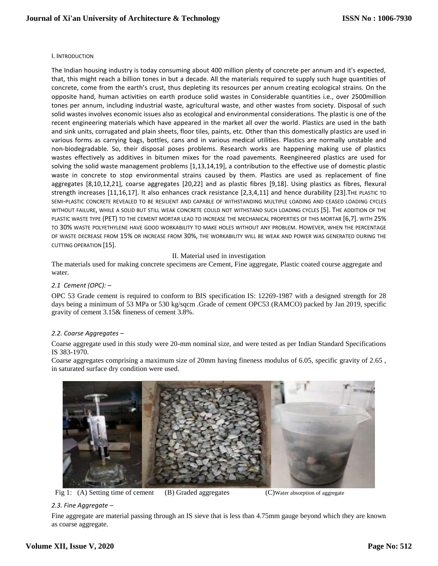## I. INTRODUCTION

The Indian housing industry is today consuming about 400 million plenty of concrete per annum and it's expected, that, this might reach a billion tones in but a decade. All the materials required to supply such huge quantities of concrete, come from the earth's crust, thus depleting its resources per annum creating ecological strains. On the opposite hand, human activities on earth produce solid wastes in Considerable quantities i.e., over 2500million tones per annum, including industrial waste, agricultural waste, and other wastes from society. Disposal of such solid wastes involves economic issues also as ecological and environmental considerations. The plastic is one of the recent engineering materials which have appeared in the market all over the world. Plastics are used in the bath and sink units, corrugated and plain sheets, floor tiles, paints, etc. Other than this domestically plastics are used in various forms as carrying bags, bottles, cans and in various medical utilities. Plastics are normally unstable and non-biodegradable. So, their disposal poses problems. Research works are happening making use of plastics wastes effectively as additives in bitumen mixes for the road pavements. Reengineered plastics are used for solving the solid waste management problems [1,13,14,19], a contribution to the effective use of domestic plastic waste in concrete to stop environmental strains caused by them. Plastics are used as replacement of fine aggregates [8,10,12,21], coarse aggregates [20,22] and as plastic fibres [9,18]. Using plastics as fibres, flexural strength increases [11,16,17]. It also enhances crack resistance [2,3,4,11] and hence durability [23].THE PLASTIC TO SEMI-PLASTIC CONCRETE REVEALED TO BE RESILIENT AND CAPABLE OF WITHSTANDING MULTIPLE LOADING AND CEASED LOADING CYCLES WITHOUT FAILURE, WHILE A SOLID BUT STILL WEAK CONCRETE COULD NOT WITHSTAND SUCH LOADING CYCLES [5]. THE ADDITION OF THE PLASTIC WASTE TYPE (PET) TO THE CEMENT MORTAR LEAD TO INCREASE THE MECHANICAL PROPERTIES OF THIS MORTAR [6,7]. WITH 25% TO 30% WASTE POLYETHYLENE HAVE GOOD WORKABILITY TO MAKE HOLES WITHOUT ANY PROBLEM. HOWEVER, WHEN THE PERCENTAGE OF WASTE DECREASE FROM 15% OR INCREASE FROM 30%, THE WORKABILITY WILL BE WEAK AND POWER WAS GENERATED DURING THE CUTTING OPERATION [15].

# II. Material used in investigation

The materials used for making concrete specimens are Cement, Fine aggregate, Plastic coated course aggregate and water.

## *2.1 Cement (OPC): –*

OPC 53 Grade cement is required to conform to BIS specification IS: 12269-1987 with a designed strength for 28 days being a minimum of 53 MPa or 530 kg/sqcm .Grade of cement OPC53 (RAMCO) packed by Jan 2019, specific gravity of cement 3.15& fineness of cement 3.8%.

# *2.2. Coarse Aggregates –*

Coarse aggregate used in this study were 20-mm nominal size, and were tested as per Indian Standard Specifications IS 383-1970.

Coarse aggregates comprising a maximum size of 20mm having fineness modulus of 6.05, specific gravity of 2.65 , in saturated surface dry condition were used.



Fig 1: (A) Setting time of cement (B) Graded aggregates (C) Water absorption of aggregate

## *2.3. Fine Aggregate –*

Fine aggregate are material passing through an IS sieve that is less than 4.75mm gauge beyond which they are known as coarse aggregate.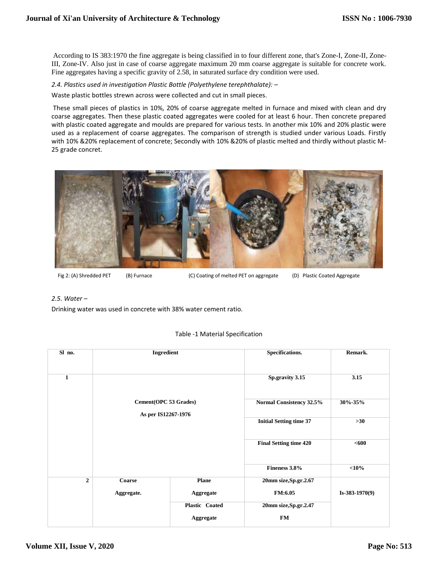According to IS 383:1970 the fine aggregate is being classified in to four different zone, that's Zone-I, Zone-II, Zone-III, Zone-IV. Also just in case of coarse aggregate maximum 20 mm coarse aggregate is suitable for concrete work. Fine aggregates having a specific gravity of 2.58, in saturated surface dry condition were used.

*2.4. Plastics used in investigation Plastic Bottle (Polyethylene terephthalate): –* Waste plastic bottles strewn across were collected and cut in small pieces.

These small pieces of plastics in 10%, 20% of coarse aggregate melted in furnace and mixed with clean and dry coarse aggregates. Then these plastic coated aggregates were cooled for at least 6 hour. Then concrete prepared with plastic coated aggregate and moulds are prepared for various tests. In another mix 10% and 20% plastic were used as a replacement of coarse aggregates. The comparison of strength is studied under various Loads. Firstly with 10% &20% replacement of concrete; Secondly with 10% &20% of plastic melted and thirdly without plastic M-25 grade concret.



Fig 2: (A) Shredded PET (B) Furnace (C) Coating of melted PET on aggregate (D) Plastic Coated Aggregate

# *2.5. Water –*

Drinking water was used in concrete with 38% water cement ratio.

| Sl no.         | Ingredient                                   |                  | Specifications.                | Remark.          |  |
|----------------|----------------------------------------------|------------------|--------------------------------|------------------|--|
|                |                                              |                  |                                |                  |  |
| $\mathbf{1}$   |                                              |                  | Sp.gravity 3.15                | 3.15             |  |
|                | Cement(OPC 53 Grades)<br>As per IS12267-1976 |                  |                                | $30\% - 35\%$    |  |
|                |                                              |                  | Normal Consistency 32.5%       |                  |  |
|                |                                              |                  | <b>Initial Setting time 37</b> | $>30$            |  |
|                |                                              |                  | <b>Final Setting time 420</b>  | $600$            |  |
|                |                                              |                  | Fineness 3.8%                  | $<$ 10%          |  |
| $\overline{2}$ | Coarse                                       | Plane            | 20mm size, Sp.gr. 2.67         |                  |  |
|                | Aggregate.                                   | Aggregate        | <b>FM:6.05</b>                 | $Is-383-1970(9)$ |  |
|                |                                              | Plastic Coated   | 20mm size, Sp.gr. 2.47         |                  |  |
|                |                                              | <b>Aggregate</b> | <b>FM</b>                      |                  |  |

# Table -1 Material Specification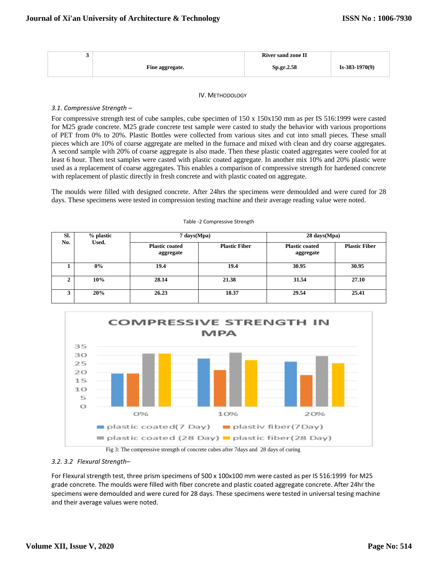|                 | <b>River sand zone II</b> |                  |
|-----------------|---------------------------|------------------|
| Fine aggregate. | <b>Sp.gr.2.58</b>         | $Is-383-1970(9)$ |

#### IV. METHODOLOGY

#### *3.1. Compressive Strength –*

For compressive strength test of cube samples, cube specimen of 150 x 150x150 mm as per IS 516:1999 were casted for M25 grade concrete. M25 grade concrete test sample were casted to study the behavior with various proportions of PET from 0% to 20%. Plastic Bottles were collected from various sites and cut into small pieces. These small pieces which are 10% of coarse aggregate are melted in the furnace and mixed with clean and dry coarse aggregates. A second sample with 20% of coarse aggregate is also made. Then these plastic coated aggregates were cooled for at least 6 hour. Then test samples were casted with plastic coated aggregate. In another mix 10% and 20% plastic were used as a replacement of coarse aggregates. This enables a comparison of compressive strength for hardened concrete with replacement of plastic directly in fresh concrete and with plastic coated on aggregate.

The moulds were filled with designed concrete. After 24hrs the specimens were demoulded and were cured for 28 days. These specimens were tested in compression testing machine and their average reading value were noted.

Table -2 Compressive Strength

| SI.<br>No. | % plastic<br>Used. | 7 days(Mpa)                        |                      | 28 days (Mpa)                      |                      |
|------------|--------------------|------------------------------------|----------------------|------------------------------------|----------------------|
|            |                    | <b>Plastic coated</b><br>aggregate | <b>Plastic Fiber</b> | <b>Plastic coated</b><br>aggregate | <b>Plastic Fiber</b> |
|            | 0%                 | 19.4                               | 19.4                 | 30.95                              | 30.95                |
| ∠          | 10%                | 28.14                              | 21.38                | 31.54                              | 27.10                |
|            | 20%                | 26.23                              | 18.37                | 29.54                              | 25.41                |



Fig 3: The compressive strength of concrete cubes after 7days and 28 days of curing

## *3.2. 3.2 Flexural Strength–*

For Flexural strength test, three prism specimens of 500 x 100x100 mm were casted as per IS 516:1999 for M25 grade concrete. The moulds were filled with fiber concrete and plastic coated aggregate concrete. After 24hr the specimens were demoulded and were cured for 28 days. These specimens were tested in universal tesing machine and their average values were noted.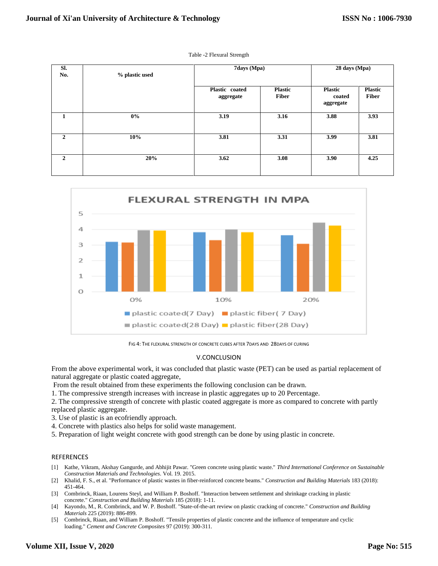Table -2 Flexural Strength

| SI.<br>No. | % plastic used | 7days (Mpa)                 |                                | 28 days (Mpa)                         |                                |
|------------|----------------|-----------------------------|--------------------------------|---------------------------------------|--------------------------------|
|            |                | Plastic coated<br>aggregate | <b>Plastic</b><br><b>Fiber</b> | <b>Plastic</b><br>coated<br>aggregate | <b>Plastic</b><br><b>Fiber</b> |
| 1          | $0\%$          | 3.19                        | 3.16                           | 3.88                                  | 3.93                           |
| 2          | 10%            | 3.81                        | 3.31                           | 3.99                                  | 3.81                           |
| 2          | 20%            | 3.62                        | 3.08                           | 3.90                                  | 4.25                           |



FIG 4: THE FLEXURAL STRENGTH OF CONCRETE CUBES AFTER 7DAYS AND 28DAYS OF CURING

# V.CONCLUSION

From the above experimental work, it was concluded that plastic waste (PET) can be used as partial replacement of natural aggregate or plastic coated aggregate,

From the result obtained from these experiments the following conclusion can be drawn.

1. The compressive strength increases with increase in plastic aggregates up to 20 Percentage.

2. The compressive strength of concrete with plastic coated aggregate is more as compared to concrete with partly replaced plastic aggregate.

- 3. Use of plastic is an ecofriendly approach.
- 4. Concrete with plastics also helps for solid waste management.
- 5. Preparation of light weight concrete with good strength can be done by using plastic in concrete.

#### REFERENCES

- [1] Kathe, Vikram, Akshay Gangurde, and Abhijit Pawar. "Green concrete using plastic waste." *Third International Conference on Sustainable Construction Materials and Technologies*. Vol. 19. 2015.
- [2] Khalid, F. S., et al. "Performance of plastic wastes in fiber-reinforced concrete beams." *Construction and Building Materials* 183 (2018): 451-464.
- [3] Combrinck, Riaan, Lourens Steyl, and William P. Boshoff. "Interaction between settlement and shrinkage cracking in plastic concrete." *Construction and Building Materials* 185 (2018): 1-11.
- [4] Kayondo, M., R. Combrinck, and W. P. Boshoff. "State-of-the-art review on plastic cracking of concrete." *Construction and Building Materials* 225 (2019): 886-899.
- [5] Combrinck, Riaan, and William P. Boshoff. "Tensile properties of plastic concrete and the influence of temperature and cyclic loading." *Cement and Concrete Composites* 97 (2019): 300-311.